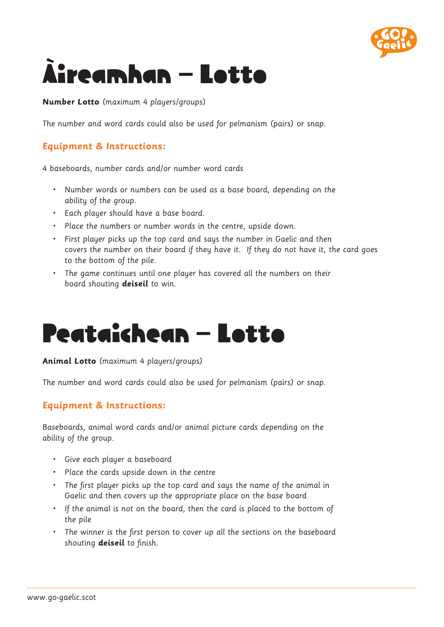

# Àireamhan – Lotto

**Number Lotto** (maximum 4 players/groups)

The number and word cards could also be used for pelmanism (pairs) or snap.

# **Equipment & Instructions:**

4 baseboards, number cards and/or number word cards

- • Number words or numbers can be used as a base board, depending on the ability of the group.
- • Each player should have a base board.
- • Place the numbers or number words in the centre, upside down.
- • First player picks up the top card and says the number in Gaelic and then covers the number on their board if they have it. If they do not have it, the card goes to the bottom of the pile.
- • The game continues until one player has covered all the numbers on their board shouting **deiseil** to win.

# Peataichean – Lotto

**Animal Lotto** (maximum 4 players/groups)

The number and word cards could also be used for pelmanism (pairs) or snap.

# **Equipment & Instructions:**

Baseboards, animal word cards and/or animal picture cards depending on the ability of the group.

- • Give each player a baseboard
- • Place the cards upside down in the centre
- The first player picks up the top card and says the name of the animal in Gaelic and then covers up the appropriate place on the base board
- If the animal is not on the board, then the card is placed to the bottom of the pile
- The winner is the first person to cover up all the sections on the baseboard shouting **deiseil** to finish.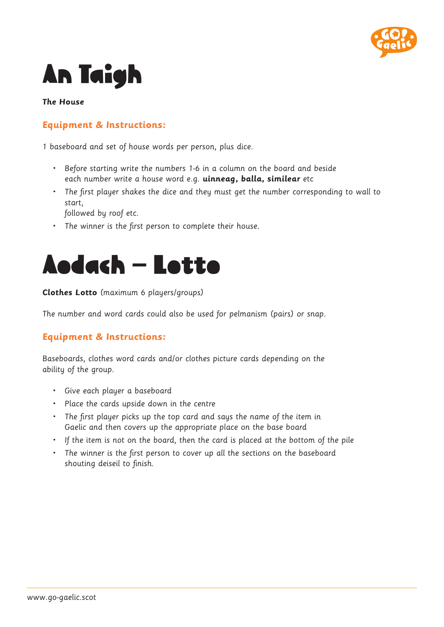

# An Taigh

#### **The House**

### **Equipment & Instructions:**

1 baseboard and set of house words per person, plus dice.

- • Before starting write the numbers 1-6 in a column on the board and beside each number write a house word e.g. **uinneag, balla, similear** etc
- The first player shakes the dice and they must get the number corresponding to wall to start,

followed by roof etc.

• The winner is the first person to complete their house.



#### **Clothes Lotto** (maximum 6 players/groups)

The number and word cards could also be used for pelmanism (pairs) or snap.

### **Equipment & Instructions:**

Baseboards, clothes word cards and/or clothes picture cards depending on the ability of the group.

- • Give each player a baseboard
- • Place the cards upside down in the centre
- The first player picks up the top card and says the name of the item in Gaelic and then covers up the appropriate place on the base board
- • If the item is not on the board, then the card is placed at the bottom of the pile
- The winner is the first person to cover up all the sections on the baseboard shouting deiseil to finish.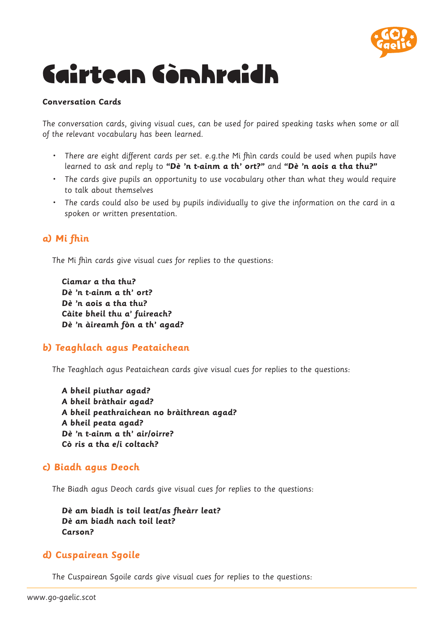

# Cairtean Còmhraidh

#### **Conversation Cards**

The conversation cards, giving visual cues, can be used for paired speaking tasks when some or all of the relevant vocabulary has been learned.

- There are eight different cards per set. e.g.the Mi fhin cards could be used when pupils have learned to ask and reply to **"Dè 'n t-ainm a th' ort?"** and **"Dè 'n aois a tha thu?"**
- The cards give pupils an opportunity to use vocabulary other than what they would require to talk about themselves
- The cards could also be used by pupils individually to give the information on the card in a spoken or written presentation.

# **a) Mi fhìn**

The Mi fhìn cards give visual cues for replies to the questions:

**Ciamar a tha thu? Dè 'n t-ainm a th' ort? Dè 'n aois a tha thu? Càite bheil thu a' fuireach? Dè 'n àireamh fòn a th' agad?**

### **b) Teaghlach agus Peataichean**

The Teaghlach agus Peataichean cards give visual cues for replies to the questions:

**A bheil piuthar agad? A bheil bràthair agad? A bheil peathraichean no bràithrean agad? A bheil peata agad? Dè 'n t-ainm a th' air/oirre? Cò ris a tha e/i coltach?**

#### **c) Biadh agus Deoch**

The Biadh agus Deoch cards give visual cues for replies to the questions:

**Dè am biadh is toil leat/as fheàrr leat? Dè am biadh nach toil leat? Carson?**

### **d) Cuspairean Sgoile**

The Cuspairean Sgoile cards give visual cues for replies to the questions: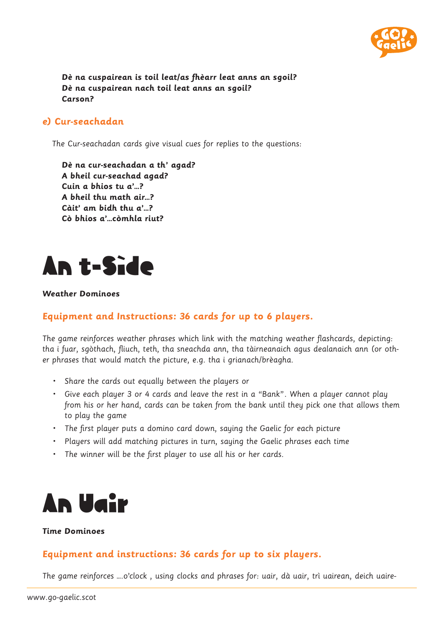

**Dè na cuspairean is toil leat/as fhèarr leat anns an sgoil? Dè na cuspairean nach toil leat anns an sgoil? Carson?**

#### **e) Cur-seachadan**

The Cur-seachadan cards give visual cues for replies to the questions:

**Dè na cur-seachadan a th' agad? A bheil cur-seachad agad? Cuin a bhios tu a'…? A bheil thu math air…? Càit' am bidh thu a'…? Cò bhios a'…còmhla riut?**



#### **Weather Dominoes**

### **Equipment and Instructions: 36 cards for up to 6 players.**

The game reinforces weather phrases which link with the matching weather flashcards, depicting: tha i fuar, sgòthach, fliuch, teth, tha sneachda ann, tha tàirneanaich agus dealanaich ann (or other phrases that would match the picture, e.g. tha i grianach/brèagha.

- • Share the cards out equally between the players or
- • Give each player 3 or 4 cards and leave the rest in a "Bank". When a player cannot play from his or her hand, cards can be taken from the bank until they pick one that allows them to play the game
- The first player puts a domino card down, saying the Gaelic for each picture
- • Players will add matching pictures in turn, saying the Gaelic phrases each time
- • The winner will be the first player to use all his or her cards.



#### **Time Dominoes**

### **Equipment and instructions: 36 cards for up to six players.**

The game reinforces ….o'clock , using clocks and phrases for: uair, dà uair, trì uairean, deich uaire-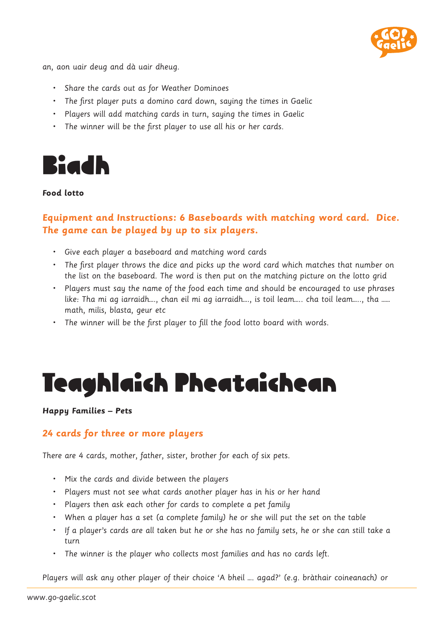

an, aon uair deug and dà uair dheug.

- • Share the cards out as for Weather Dominoes
- • The first player puts a domino card down, saying the times in Gaelic
- • Players will add matching cards in turn, saying the times in Gaelic
- • The winner will be the first player to use all his or her cards.



#### **Food lotto**

# **Equipment and Instructions: 6 Baseboards with matching word card. Dice. The game can be played by up to six players.**

- • Give each player a baseboard and matching word cards
- • The first player throws the dice and picks up the word card which matches that number on the list on the baseboard. The word is then put on the matching picture on the lotto grid
- • Players must say the name of the food each time and should be encouraged to use phrases like: Tha mi ag iarraidh…., chan eil mi ag iarraidh…., is toil leam….. cha toil leam….., tha …… math, milis, blasta, geur etc
- The winner will be the first player to fill the food lotto board with words.

# Teaghlaich Pheataichean

#### **Happy Families – Pets**

#### **24 cards for three or more players**

There are 4 cards, mother, father, sister, brother for each of six pets.

- • Mix the cards and divide between the players
- • Players must not see what cards another player has in his or her hand
- • Players then ask each other for cards to complete a pet family
- When a player has a set (a complete family) he or she will put the set on the table
- • If a player's cards are all taken but he or she has no family sets, he or she can still take a turn
- The winner is the player who collects most families and has no cards left.

Players will ask any other player of their choice 'A bheil …. agad?' (e.g. bràthair coineanach) or